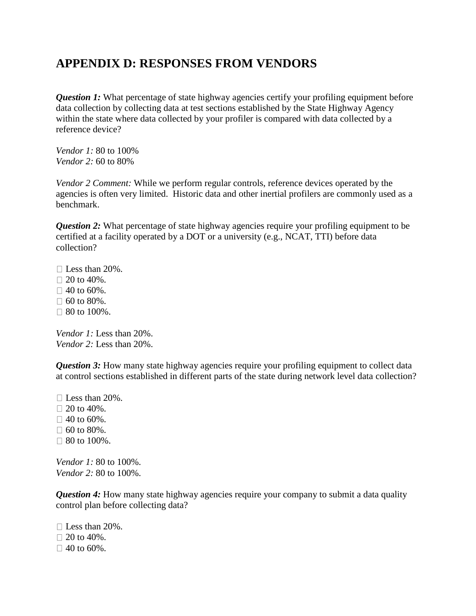## **APPENDIX D: RESPONSES FROM VENDORS**

*Question 1:* What percentage of state highway agencies certify your profiling equipment before data collection by collecting data at test sections established by the State Highway Agency within the state where data collected by your profiler is compared with data collected by a reference device?

*Vendor 1:* 80 to 100% *Vendor 2:* 60 to 80%

*Vendor 2 Comment:* While we perform regular controls, reference devices operated by the agencies is often very limited. Historic data and other inertial profilers are commonly used as a benchmark.

*Question 2:* What percentage of state highway agencies require your profiling equipment to be certified at a facility operated by a DOT or a university (e.g., NCAT, TTI) before data collection?

 $\Box$  Less than 20%.  $\Box$  20 to 40%.  $\Box$  40 to 60%.  $\Box$  60 to 80%.  $\Box$  80 to 100%.

*Vendor 1:* Less than 20%. *Vendor 2:* Less than 20%.

*Question 3:* How many state highway agencies require your profiling equipment to collect data at control sections established in different parts of the state during network level data collection?

 $\Box$  Less than 20%.  $\Box$  20 to 40%.  $\Box$  40 to 60%.  $\Box$  60 to 80%. □ 80 to 100%.

*Vendor 1:* 80 to 100%. *Vendor 2:* 80 to 100%.

*Question 4:* How many state highway agencies require your company to submit a data quality control plan before collecting data?

 $\Box$  Less than 20%.  $\Box$  20 to 40%.  $\Box$  40 to 60%.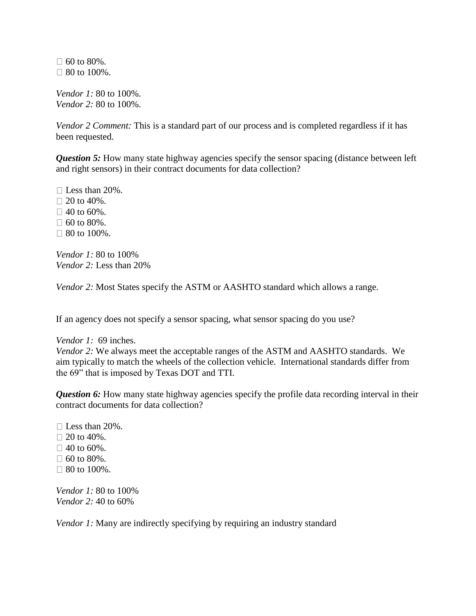$\Box$  60 to 80%.  $\Box$  80 to 100%.

*Vendor 1:* 80 to 100%. *Vendor 2:* 80 to 100%.

*Vendor 2 Comment:* This is a standard part of our process and is completed regardless if it has been requested.

*Question 5:* How many state highway agencies specify the sensor spacing (distance between left and right sensors) in their contract documents for data collection?

 $\Box$  Less than 20%.  $\Box$  20 to 40%.  $\Box$  40 to 60%.  $\Box$  60 to 80%.  $\Box$  80 to 100%.

*Vendor 1:* 80 to 100% *Vendor 2:* Less than 20%

*Vendor 2:* Most States specify the ASTM or AASHTO standard which allows a range.

If an agency does not specify a sensor spacing, what sensor spacing do you use?

## *Vendor 1:* 69 inches.

*Vendor 2:* We always meet the acceptable ranges of the ASTM and AASHTO standards. We aim typically to match the wheels of the collection vehicle. International standards differ from the 69" that is imposed by Texas DOT and TTI.

**Question 6:** How many state highway agencies specify the profile data recording interval in their contract documents for data collection?

 $\Box$  Less than 20%.  $\Box$  20 to 40%.  $\Box$  40 to 60%.  $\Box$  60 to 80%.  $\Box$  80 to 100%.

*Vendor 1:* 80 to 100% *Vendor 2:* 40 to 60%

*Vendor 1:* Many are indirectly specifying by requiring an industry standard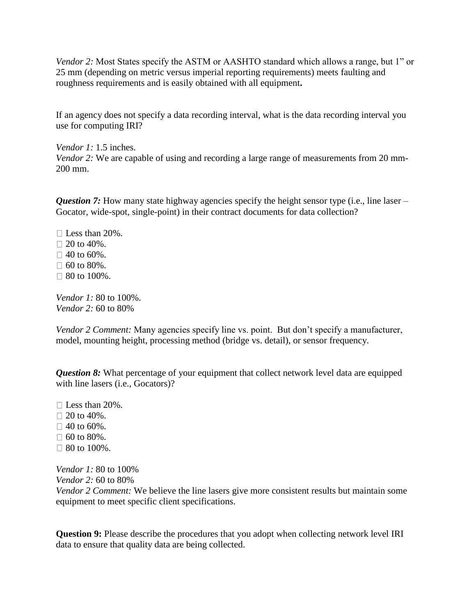*Vendor 2:* Most States specify the ASTM or AASHTO standard which allows a range, but 1" or 25 mm (depending on metric versus imperial reporting requirements) meets faulting and roughness requirements and is easily obtained with all equipment**.**

If an agency does not specify a data recording interval, what is the data recording interval you use for computing IRI?

*Vendor 1:* 1.5 inches. *Vendor 2:* We are capable of using and recording a large range of measurements from 20 mm-200 mm.

*Question 7:* How many state highway agencies specify the height sensor type (i.e., line laser – Gocator, wide-spot, single-point) in their contract documents for data collection?

 $\square$  Less than 20%.  $\Box$  20 to 40%.  $\Box$  40 to 60%.  $\Box$  60 to 80%.  $\Box$  80 to 100%.

*Vendor 1:* 80 to 100%. *Vendor 2:* 60 to 80%

*Vendor 2 Comment:* Many agencies specify line vs. point. But don't specify a manufacturer, model, mounting height, processing method (bridge vs. detail), or sensor frequency.

*Question 8:* What percentage of your equipment that collect network level data are equipped with line lasers (i.e., Gocators)?

- $\square$  Less than 20%.  $\Box$  20 to 40%.
- $\Box$  40 to 60%.
- $\Box$  60 to 80%.
- $\Box$  80 to 100%.

*Vendor 1:* 80 to 100% *Vendor 2:* 60 to 80%

*Vendor 2 Comment:* We believe the line lasers give more consistent results but maintain some equipment to meet specific client specifications.

**Question 9:** Please describe the procedures that you adopt when collecting network level IRI data to ensure that quality data are being collected.